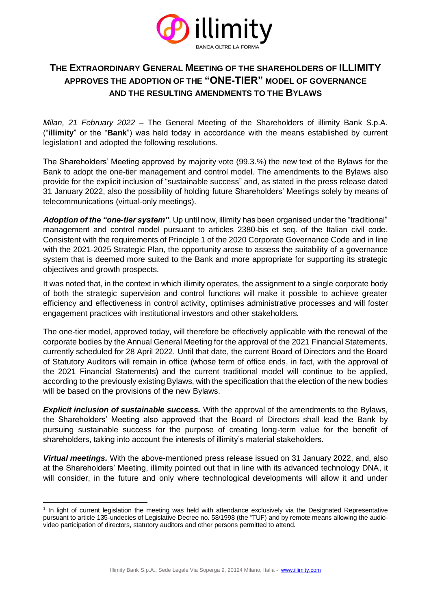

## **THE EXTRAORDINARY GENERAL MEETING OF THE SHAREHOLDERS OF ILLIMITY APPROVES THE ADOPTION OF THE "ONE-TIER" MODEL OF GOVERNANCE AND THE RESULTING AMENDMENTS TO THE BYLAWS**

*Milan, 21 February 2022* – The General Meeting of the Shareholders of illimity Bank S.p.A. ("**illimity**" or the "**Bank**") was held today in accordance with the means established by current legislation1 and adopted the following resolutions.

The Shareholders' Meeting approved by majority vote (99.3.%) the new text of the Bylaws for the Bank to adopt the one-tier management and control model. The amendments to the Bylaws also provide for the explicit inclusion of "sustainable success" and, as stated in the press release dated 31 January 2022, also the possibility of holding future Shareholders' Meetings solely by means of telecommunications (virtual-only meetings).

*Adoption of the "one-tier system"*. Up until now, illimity has been organised under the "traditional" management and control model pursuant to articles 2380-bis et seq. of the Italian civil code. Consistent with the requirements of Principle 1 of the 2020 Corporate Governance Code and in line with the 2021-2025 Strategic Plan, the opportunity arose to assess the suitability of a governance system that is deemed more suited to the Bank and more appropriate for supporting its strategic objectives and growth prospects.

It was noted that, in the context in which illimity operates, the assignment to a single corporate body of both the strategic supervision and control functions will make it possible to achieve greater efficiency and effectiveness in control activity, optimises administrative processes and will foster engagement practices with institutional investors and other stakeholders.

The one-tier model, approved today, will therefore be effectively applicable with the renewal of the corporate bodies by the Annual General Meeting for the approval of the 2021 Financial Statements, currently scheduled for 28 April 2022. Until that date, the current Board of Directors and the Board of Statutory Auditors will remain in office (whose term of office ends, in fact, with the approval of the 2021 Financial Statements) and the current traditional model will continue to be applied, according to the previously existing Bylaws, with the specification that the election of the new bodies will be based on the provisions of the new Bylaws.

*Explicit inclusion of sustainable success.* With the approval of the amendments to the Bylaws, the Shareholders' Meeting also approved that the Board of Directors shall lead the Bank by pursuing sustainable success for the purpose of creating long-term value for the benefit of shareholders, taking into account the interests of illimity's material stakeholders.

*Virtual meetings.* With the above-mentioned press release issued on 31 January 2022, and, also at the Shareholders' Meeting, illimity pointed out that in line with its advanced technology DNA, it will consider, in the future and only where technological developments will allow it and under

<sup>1</sup> In light of current legislation the meeting was held with attendance exclusively via the Designated Representative pursuant to article 135-undecies of Legislative Decree no. 58/1998 (the "TUF) and by remote means allowing the audiovideo participation of directors, statutory auditors and other persons permitted to attend.